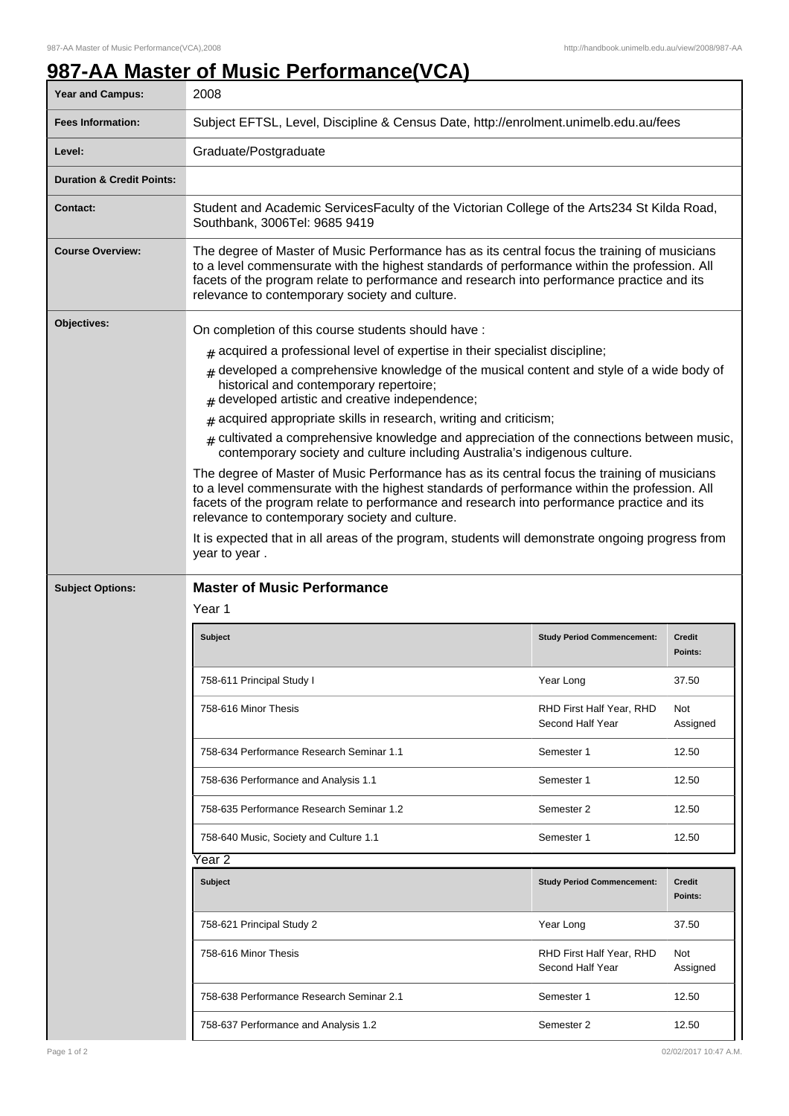## **987-AA Master of Music Performance(VCA)**

| <b>Year and Campus:</b>              | 2008                                                                                                                                                                                                                                                                                                                                                                                                                                                                                                                                                                                                                                                                                                                                                                                                                                                                                                                                                                                                                                                     |                                              |                          |  |
|--------------------------------------|----------------------------------------------------------------------------------------------------------------------------------------------------------------------------------------------------------------------------------------------------------------------------------------------------------------------------------------------------------------------------------------------------------------------------------------------------------------------------------------------------------------------------------------------------------------------------------------------------------------------------------------------------------------------------------------------------------------------------------------------------------------------------------------------------------------------------------------------------------------------------------------------------------------------------------------------------------------------------------------------------------------------------------------------------------|----------------------------------------------|--------------------------|--|
| <b>Fees Information:</b>             | Subject EFTSL, Level, Discipline & Census Date, http://enrolment.unimelb.edu.au/fees                                                                                                                                                                                                                                                                                                                                                                                                                                                                                                                                                                                                                                                                                                                                                                                                                                                                                                                                                                     |                                              |                          |  |
| Level:                               | Graduate/Postgraduate                                                                                                                                                                                                                                                                                                                                                                                                                                                                                                                                                                                                                                                                                                                                                                                                                                                                                                                                                                                                                                    |                                              |                          |  |
| <b>Duration &amp; Credit Points:</b> |                                                                                                                                                                                                                                                                                                                                                                                                                                                                                                                                                                                                                                                                                                                                                                                                                                                                                                                                                                                                                                                          |                                              |                          |  |
| <b>Contact:</b>                      | Student and Academic ServicesFaculty of the Victorian College of the Arts234 St Kilda Road,<br>Southbank, 3006Tel: 9685 9419                                                                                                                                                                                                                                                                                                                                                                                                                                                                                                                                                                                                                                                                                                                                                                                                                                                                                                                             |                                              |                          |  |
| <b>Course Overview:</b>              | The degree of Master of Music Performance has as its central focus the training of musicians<br>to a level commensurate with the highest standards of performance within the profession. All<br>facets of the program relate to performance and research into performance practice and its<br>relevance to contemporary society and culture.                                                                                                                                                                                                                                                                                                                                                                                                                                                                                                                                                                                                                                                                                                             |                                              |                          |  |
| Objectives:                          | On completion of this course students should have:<br>$#$ acquired a professional level of expertise in their specialist discipline;<br>$#$ developed a comprehensive knowledge of the musical content and style of a wide body of<br>historical and contemporary repertoire;<br>developed artistic and creative independence;<br>acquired appropriate skills in research, writing and criticism;<br>#<br>$#$ cultivated a comprehensive knowledge and appreciation of the connections between music,<br>contemporary society and culture including Australia's indigenous culture.<br>The degree of Master of Music Performance has as its central focus the training of musicians<br>to a level commensurate with the highest standards of performance within the profession. All<br>facets of the program relate to performance and research into performance practice and its<br>relevance to contemporary society and culture.<br>It is expected that in all areas of the program, students will demonstrate ongoing progress from<br>year to year. |                                              |                          |  |
| <b>Subject Options:</b>              | <b>Master of Music Performance</b>                                                                                                                                                                                                                                                                                                                                                                                                                                                                                                                                                                                                                                                                                                                                                                                                                                                                                                                                                                                                                       |                                              |                          |  |
|                                      | Year 1                                                                                                                                                                                                                                                                                                                                                                                                                                                                                                                                                                                                                                                                                                                                                                                                                                                                                                                                                                                                                                                   |                                              |                          |  |
|                                      | <b>Subject</b>                                                                                                                                                                                                                                                                                                                                                                                                                                                                                                                                                                                                                                                                                                                                                                                                                                                                                                                                                                                                                                           | <b>Study Period Commencement:</b>            | <b>Credit</b><br>Points: |  |
|                                      | 758-611 Principal Study I                                                                                                                                                                                                                                                                                                                                                                                                                                                                                                                                                                                                                                                                                                                                                                                                                                                                                                                                                                                                                                | Year Long                                    | 37.50                    |  |
|                                      | 758-616 Minor Thesis                                                                                                                                                                                                                                                                                                                                                                                                                                                                                                                                                                                                                                                                                                                                                                                                                                                                                                                                                                                                                                     | RHD First Half Year, RHD<br>Second Half Year | Not<br>Assigned          |  |
|                                      | 758-634 Performance Research Seminar 1.1                                                                                                                                                                                                                                                                                                                                                                                                                                                                                                                                                                                                                                                                                                                                                                                                                                                                                                                                                                                                                 | Semester 1                                   | 12.50                    |  |
|                                      | 758-636 Performance and Analysis 1.1                                                                                                                                                                                                                                                                                                                                                                                                                                                                                                                                                                                                                                                                                                                                                                                                                                                                                                                                                                                                                     | Semester 1                                   | 12.50                    |  |
|                                      | 758-635 Performance Research Seminar 1.2                                                                                                                                                                                                                                                                                                                                                                                                                                                                                                                                                                                                                                                                                                                                                                                                                                                                                                                                                                                                                 | Semester 2                                   | 12.50                    |  |
|                                      | 758-640 Music, Society and Culture 1.1                                                                                                                                                                                                                                                                                                                                                                                                                                                                                                                                                                                                                                                                                                                                                                                                                                                                                                                                                                                                                   | Semester 1                                   | 12.50                    |  |
|                                      | Year 2                                                                                                                                                                                                                                                                                                                                                                                                                                                                                                                                                                                                                                                                                                                                                                                                                                                                                                                                                                                                                                                   |                                              |                          |  |
|                                      | <b>Subject</b>                                                                                                                                                                                                                                                                                                                                                                                                                                                                                                                                                                                                                                                                                                                                                                                                                                                                                                                                                                                                                                           | <b>Study Period Commencement:</b>            | <b>Credit</b><br>Points: |  |
|                                      | 758-621 Principal Study 2                                                                                                                                                                                                                                                                                                                                                                                                                                                                                                                                                                                                                                                                                                                                                                                                                                                                                                                                                                                                                                | Year Long                                    | 37.50                    |  |
|                                      | 758-616 Minor Thesis                                                                                                                                                                                                                                                                                                                                                                                                                                                                                                                                                                                                                                                                                                                                                                                                                                                                                                                                                                                                                                     | RHD First Half Year, RHD<br>Second Half Year | Not<br>Assigned          |  |
|                                      | 758-638 Performance Research Seminar 2.1                                                                                                                                                                                                                                                                                                                                                                                                                                                                                                                                                                                                                                                                                                                                                                                                                                                                                                                                                                                                                 | Semester 1                                   | 12.50                    |  |
|                                      | 758-637 Performance and Analysis 1.2                                                                                                                                                                                                                                                                                                                                                                                                                                                                                                                                                                                                                                                                                                                                                                                                                                                                                                                                                                                                                     | Semester 2                                   | 12.50                    |  |